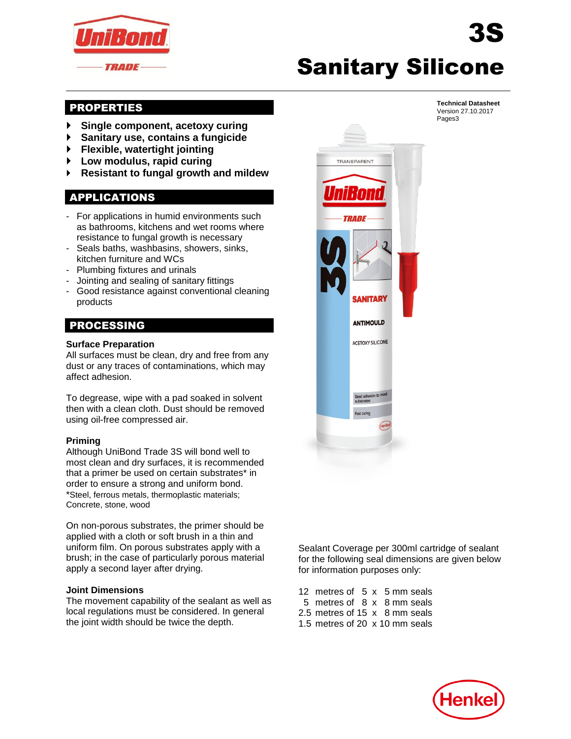

# Sanitary Silicone

# PROPERTIES

- **Single component, acetoxy curing**
- **Sanitary use, contains a fungicide**
- **Flexible, watertight jointing**
- **Low modulus, rapid curing**
- **Resistant to fungal growth and mildew**

# APPLICATIONS

- For applications in humid environments such as bathrooms, kitchens and wet rooms where resistance to fungal growth is necessary
- Seals baths, washbasins, showers, sinks, kitchen furniture and WCs
- Plumbing fixtures and urinals
- Jointing and sealing of sanitary fittings
- Good resistance against conventional cleaning products

# PROCESSING

#### **Surface Preparation**

All surfaces must be clean, dry and free from any dust or any traces of contaminations, which may affect adhesion.

To degrease, wipe with a pad soaked in solvent then with a clean cloth. Dust should be removed using oil-free compressed air.

#### **Priming**

Although UniBond Trade 3S will bond well to most clean and dry surfaces, it is recommended that a primer be used on certain substrates\* in order to ensure a strong and uniform bond. \*Steel, ferrous metals, thermoplastic materials; Concrete, stone, wood

On non-porous substrates, the primer should be applied with a cloth or soft brush in a thin and uniform film. On porous substrates apply with a brush; in the case of particularly porous material apply a second layer after drying.

#### **Joint Dimensions**

The movement capability of the sealant as well as local regulations must be considered. In general the joint width should be twice the depth.



**Technical Datasheet** Version 27.10.2017 Pages3

3S

Sealant Coverage per 300ml cartridge of sealant for the following seal dimensions are given below for information purposes only:

12 metres of 5 x 5 mm seals 5 metres of 8 x 8 mm seals 2.5 metres of 15 x 8 mm seals 1.5 metres of 20 x 10 mm seals

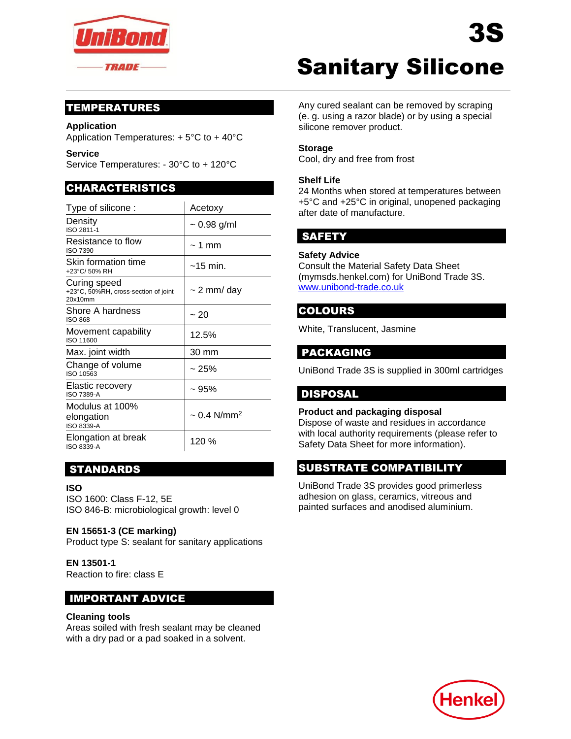

# TEMPERATURES

#### **Application**

Application Temperatures: + 5°C to + 40°C

**Service** 

Service Temperatures: - 30°C to + 120°C

# CHARACTERISTICS

| Type of silicone:                                               | Acetoxy                      |
|-----------------------------------------------------------------|------------------------------|
| Density<br>ISO 2811-1                                           | $\sim 0.98$ g/ml             |
| Resistance to flow<br><b>ISO 7390</b>                           | $\sim$ 1 mm                  |
| Skin formation time<br>+23°C/50% RH                             | $~15$ min.                   |
| Curing speed<br>+23°C, 50%RH, cross-section of joint<br>20x10mm | $\sim$ 2 mm/ day             |
| Shore A hardness<br><b>ISO 868</b>                              | $~1$ 20                      |
| Movement capability<br>ISO 11600                                | 12.5%                        |
| Max. joint width                                                | 30 mm                        |
| Change of volume<br>ISO 10563                                   | ~25%                         |
| <b>Elastic recovery</b><br><b>ISO 7389-A</b>                    | ~1.95%                       |
| Modulus at 100%<br>elongation<br>ISO 8339-A                     | $\sim 0.4$ N/mm <sup>2</sup> |
| Elongation at break<br>ISO 8339-A                               | 120 %                        |

# STANDARDS

#### **ISO**

ISO 1600: Class F-12, 5E ISO 846-B: microbiological growth: level 0

#### **EN 15651-3 (CE marking)**

Product type S: sealant for sanitary applications

#### **EN 13501-1**

Reaction to fire: class E

## IMPORTANT ADVICE

#### **Cleaning tools**

Areas soiled with fresh sealant may be cleaned with a dry pad or a pad soaked in a solvent.

# Sanitary Silicone

Any cured sealant can be removed by scraping (e. g. using a razor blade) or by using a special silicone remover product.

#### **Storage**

Cool, dry and free from frost

#### **Shelf Life**

24 Months when stored at temperatures between +5°C and +25°C in original, unopened packaging after date of manufacture.

## SAFETY

#### **Safety Advice**

Consult the Material Safety Data Sheet (mymsds.henkel.com) for UniBond Trade 3S. [www.unibond-trade.co.uk](http://www.unibond-trade.co.uk/)

# **COLOURS**

White, Translucent, Jasmine

# PACKAGING

UniBond Trade 3S is supplied in 300ml cartridges

## DISPOSAL

#### **Product and packaging disposal**

Dispose of waste and residues in accordance with local authority requirements (please refer to Safety Data Sheet for more information).

# SUBSTRATE COMPATIBILITY

UniBond Trade 3S provides good primerless adhesion on glass, ceramics, vitreous and painted surfaces and anodised aluminium.